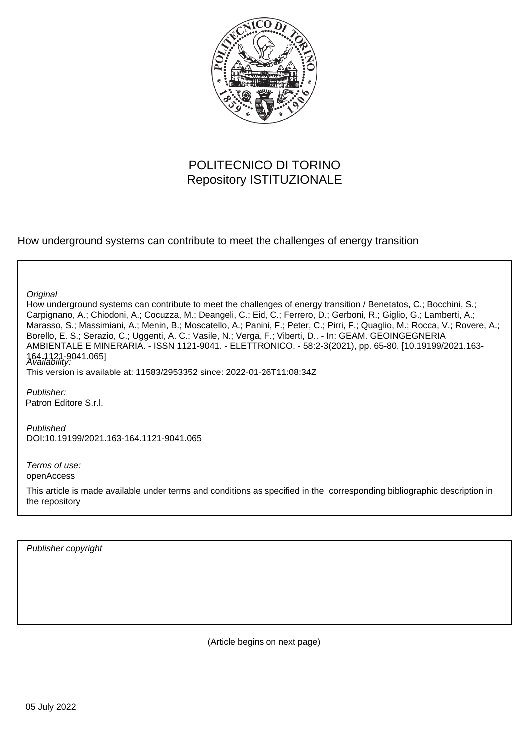

# POLITECNICO DI TORINO Repository ISTITUZIONALE

How underground systems can contribute to meet the challenges of energy transition

**Original** 

How underground systems can contribute to meet the challenges of energy transition / Benetatos, C.; Bocchini, S.; Carpignano, A.; Chiodoni, A.; Cocuzza, M.; Deangeli, C.; Eid, C.; Ferrero, D.; Gerboni, R.; Giglio, G.; Lamberti, A.; Marasso, S.; Massimiani, A.; Menin, B.; Moscatello, A.; Panini, F.; Peter, C.; Pirri, F.; Quaglio, M.; Rocca, V.; Rovere, A.; Borello, E. S.; Serazio, C.; Uggenti, A. C.; Vasile, N.; Verga, F.; Viberti, D.. - In: GEAM. GEOINGEGNERIA AMBIENTALE E MINERARIA. - ISSN 1121-9041. - ELETTRONICO. - 58:2-3(2021), pp. 65-80. [10.19199/2021.163- 164.1121-9041.065] Availability:

This version is available at: 11583/2953352 since: 2022-01-26T11:08:34Z

Publisher: Patron Editore S.r.l.

Published DOI:10.19199/2021.163-164.1121-9041.065

Terms of use: openAccess

This article is made available under terms and conditions as specified in the corresponding bibliographic description in the repository

Publisher copyright

(Article begins on next page)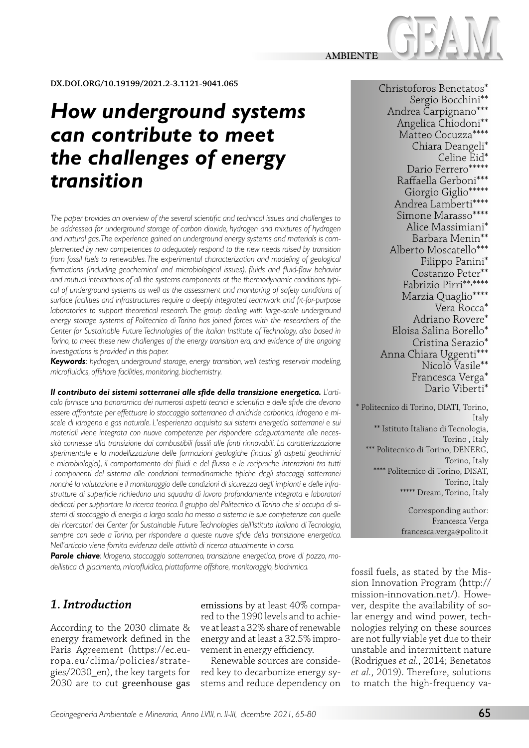

**DX.DOI.ORG/10.19199/2021.2-3.1121-9041.065**

# *How underground systems can contribute to meet the challenges of energy transition*

*The paper provides an overview of the several scientific and technical issues and challenges to be addressed for underground storage of carbon dioxide, hydrogen and mixtures of hydrogen and natural gas. The experience gained on underground energy systems and materials is complemented by new competences to adequately respond to the new needs raised by transition from fossil fuels to renewables. The experimental characterization and modeling of geological formations (including geochemical and microbiological issues), fluids and fluid-flow behavior and mutual interactions of all the systems components at the thermodynamic conditions typical of underground systems as well as the assessment and monitoring of safety conditions of surface facilities and infrastructures require a deeply integrated teamwork and fit-for-purpose laboratories to support theoretical research. The group dealing with large-scale underground energy storage systems of Politecnico di Torino has joined forces with the researchers of the Center for Sustainable Future Technologies of the Italian Institute of Technology, also based in Torino, to meet these new challenges of the energy transition era, and evidence of the ongoing investigations is provided in this paper.*

*Keywords*: *hydrogen, underground storage, energy transition, well testing, reservoir modeling, microfluidics, offshore facilities, monitoring, biochemistry.*

*Il contributo dei sistemi sotterranei alle sfide della transizione energetica. L'articolo fornisce una panoramica dei numerosi aspetti tecnici e scientifici e delle sfide che devono essere affrontate per effettuare lo stoccaggio sotterraneo di anidride carbonica, idrogeno e miscele di idrogeno e gas naturale. L'esperienza acquisita sui sistemi energetici sotterranei e sui materiali viene integrata con nuove competenze per rispondere adeguatamente alle necessità connesse alla transizione dai combustibili fossili alle fonti rinnovabili. La caratterizzazione sperimentale e la modellizzazione delle formazioni geologiche (inclusi gli aspetti geochimici e microbiologici), il comportamento dei fluidi e del flusso e le reciproche interazioni tra tutti i componenti del sistema alle condizioni termodinamiche tipiche degli stoccaggi sotterranei nonché la valutazione e il monitoraggio delle condizioni di sicurezza degli impianti e delle infrastrutture di superficie richiedono una squadra di lavoro profondamente integrata e laboratori dedicati per supportare la ricerca teorica. Il gruppo del Politecnico di Torino che si occupa di sistemi di stoccaggio di energia a larga scala ha messo a sistema le sue competenze con quelle dei ricercatori del Center for Sustainable Future Technologies dell'Istituto Italiano di Tecnologia, sempre con sede a Torino, per rispondere a queste nuove sfide della transizione energetica. Nell'articolo viene fornita evidenza delle attività di ricerca attualmente in corso.*

*Parole chiave: Idrogeno, stoccaggio sotterraneo, transizione energetica, prove di pozzo, modellistica di giacimento, microfluidica, piattaforme offshore, monitoraggio, biochimica.*

# *1. Introduction*

According to the 2030 climate & energy framework defined in the Paris Agreement (https://ec.europa.eu/clima/policies/strategies/2030\_en), the key targets for 2030 are to cut greenhouse gas emissions by at least 40% compared to the 1990 levels and to achieve at least a 32% share of renewable energy and at least a 32.5% improvement in energy efficiency.

Renewable sources are considered key to decarbonize energy systems and reduce dependency on

Christoforos Benetatos\* Sergio Bocchini\*\* Andrea Carpignano\*\*\* Angelica Chiodoni\*\* Matteo Cocuzza\*\*\*\* Chiara Deangeli\* Celine Eid\* Dario Ferrero\*\*\*\*\* Raffaella Gerboni\*\*\* Giorgio Giglio\*\*\*\*\* Andrea Lamberti\*\*\*\* Simone Marasso\*\*\*\* Alice Massimiani\* Barbara Menin\*\* Alberto Moscatello\*\*\* Filippo Panini\* Costanzo Peter\*\* Fabrizio Pirri\*\*, \*\*\*\* Marzia Quaglio\*\*\*\* Vera Rocca\* Adriano Rovere\* Eloisa Salina Borello\* Cristina Serazio\* Anna Chiara Uggenti\*\*\* Nicolò Vasile\*\* Francesca Verga\* Dario Viberti\*

\* Politecnico di Torino, DIATI, Torino, Italy \*\* Istituto Italiano di Tecnologia, Torino , Italy \*\*\* Politecnico di Torino, DENERG, Torino, Italy \*\*\*\* Politecnico di Torino, DISAT, Torino, Italy \*\*\*\*\* Dream, Torino, Italy

> Corresponding author: Francesca Verga francesca.verga@polito.it

fossil fuels, as stated by the Mission Innovation Program (http:// mission-innovation.net/). However, despite the availability of solar energy and wind power, technologies relying on these sources are not fully viable yet due to their unstable and intermittent nature (Rodrigues *et al.*, 2014; Benetatos *et al.*, 2019). Therefore, solutions to match the high-frequency va-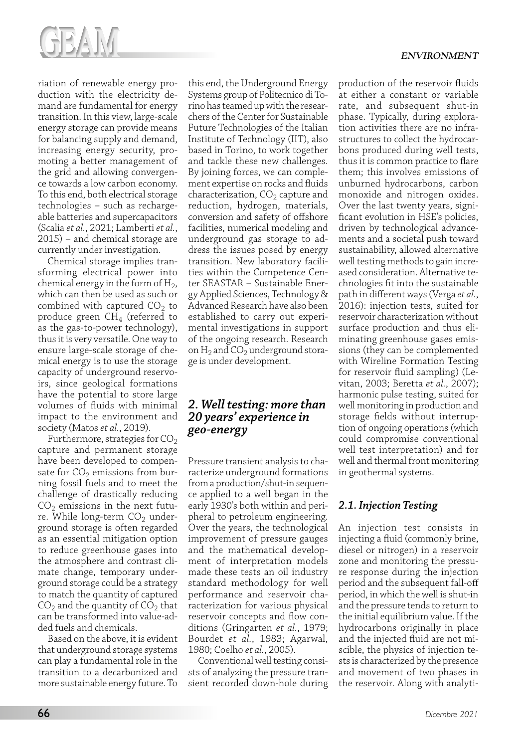



riation of renewable energy production with the electricity demand are fundamental for energy transition. In this view, large-scale energy storage can provide means for balancing supply and demand, increasing energy security, promoting a better management of the grid and allowing convergence towards a low carbon economy. To this end, both electrical storage technologies – such as rechargeable batteries and supercapacitors (Scalia *et al.*, 2021; Lamberti *et al.*, 2015) – and chemical storage are currently under investigation.

Chemical storage implies transforming electrical power into chemical energy in the form of  $H_2$ , which can then be used as such or combined with captured  $CO<sub>2</sub>$  to produce green CH4 (referred to as the gas-to-power technology), thus it is very versatile. One way to ensure large-scale storage of chemical energy is to use the storage capacity of underground reservoirs, since geological formations have the potential to store large volumes of fluids with minimal impact to the environment and society (Matos *et al.*, 2019).

Furthermore, strategies for  $CO<sub>2</sub>$ capture and permanent storage have been developed to compensate for  $CO<sub>2</sub>$  emissions from burning fossil fuels and to meet the challenge of drastically reducing  $CO<sub>2</sub>$  emissions in the next future. While long-term  $CO<sub>2</sub>$  underground storage is often regarded as an essential mitigation option to reduce greenhouse gases into the atmosphere and contrast climate change, temporary underground storage could be a strategy to match the quantity of captured  $CO<sub>2</sub>$  and the quantity of  $CO<sub>2</sub>$  that can be transformed into value-added fuels and chemicals.

Based on the above, it is evident that underground storage systems can play a fundamental role in the transition to a decarbonized and more sustainable energy future. To

this end, the Underground Energy Systems group of Politecnico di Torino has teamed up with the researchers of the Center for Sustainable Future Technologies of the Italian Institute of Technology (IIT), also based in Torino, to work together and tackle these new challenges. By joining forces, we can complement expertise on rocks and fluids characterization,  $CO<sub>2</sub>$  capture and reduction, hydrogen, materials, conversion and safety of offshore facilities, numerical modeling and underground gas storage to address the issues posed by energy transition. New laboratory facilities within the Competence Center SEASTAR – Sustainable Energy Applied Sciences, Technology & Advanced Research have also been established to carry out experimental investigations in support of the ongoing research. Research on  $H_2$  and  $CO_2$  underground storage is under development.

# *2. Well testing: more than 20 years' experience in geo-energy*

Pressure transient analysis to characterize underground formations from a production/shut-in sequence applied to a well began in the early 1930's both within and peripheral to petroleum engineering. Over the years, the technological improvement of pressure gauges and the mathematical development of interpretation models made these tests an oil industry standard methodology for well performance and reservoir characterization for various physical reservoir concepts and flow conditions (Gringarten *et al.*, 1979; Bourdet *et al.*, 1983; Agarwal, 1980; Coelho *et al.*, 2005).

Conventional well testing consists of analyzing the pressure transient recorded down-hole during production of the reservoir fluids at either a constant or variable rate, and subsequent shut-in phase. Typically, during exploration activities there are no infrastructures to collect the hydrocarbons produced during well tests, thus it is common practice to flare them; this involves emissions of unburned hydrocarbons, carbon monoxide and nitrogen oxides. Over the last twenty years, significant evolution in HSE's policies, driven by technological advancements and a societal push toward sustainability, allowed alternative well testing methods to gain increased consideration. Alternative technologies fit into the sustainable path in different ways (Verga *et al.*, 2016): injection tests, suited for reservoir characterization without surface production and thus eliminating greenhouse gases emissions (they can be complemented with Wireline Formation Testing for reservoir fluid sampling) (Levitan, 2003; Beretta *et al.*, 2007); harmonic pulse testing, suited for well monitoring in production and storage fields without interruption of ongoing operations (which could compromise conventional well test interpretation) and for well and thermal front monitoring in geothermal systems.

# *2.1. Injection Testing*

An injection test consists in injecting a fluid (commonly brine, diesel or nitrogen) in a reservoir zone and monitoring the pressure response during the injection period and the subsequent fall-off period, in which the well is shut-in and the pressure tends to return to the initial equilibrium value. If the hydrocarbons originally in place and the injected fluid are not miscible, the physics of injection tests is characterized by the presence and movement of two phases in the reservoir. Along with analyti-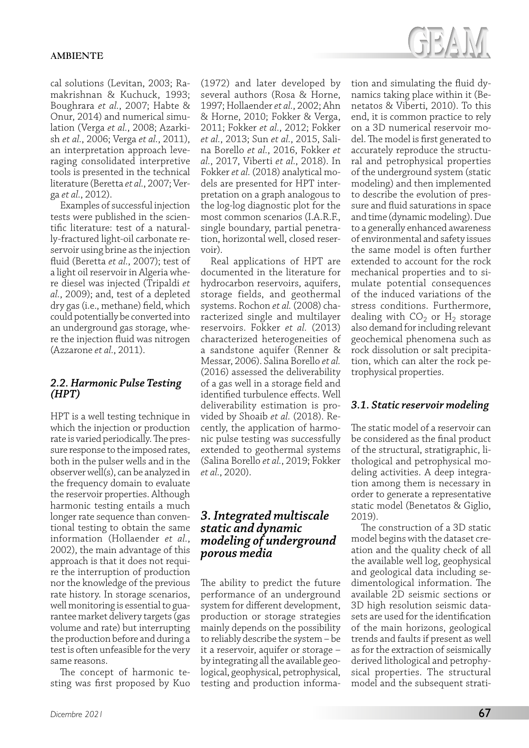cal solutions (Levitan, 2003; Ramakrishnan & Kuchuck, 1993; Boughrara *et al.*, 2007; Habte & Onur, 2014) and numerical simulation (Verga *et al.*, 2008; Azarkish *et al.*, 2006; Verga *et al.*, 2011), an interpretation approach leveraging consolidated interpretive tools is presented in the technical literature (Beretta *et al.*, 2007; Verga *et al.*, 2012).

Examples of successful injection tests were published in the scientific literature: test of a naturally-fractured light-oil carbonate reservoir using brine as the injection fluid (Beretta *et al.*, 2007); test of a light oil reservoir in Algeria where diesel was injected (Tripaldi *et al.*, 2009); and, test of a depleted dry gas (i.e., methane) field, which could potentially be converted into an underground gas storage, where the injection fluid was nitrogen (Azzarone *et al.*, 2011).

#### *2.2. Harmonic Pulse Testing (HPT)*

HPT is a well testing technique in which the injection or production rate is varied periodically. The pressure response to the imposed rates, both in the pulser wells and in the observer well(s), can be analyzed in the frequency domain to evaluate the reservoir properties. Although harmonic testing entails a much longer rate sequence than conventional testing to obtain the same information (Hollaender *et al.*, 2002), the main advantage of this approach is that it does not require the interruption of production nor the knowledge of the previous rate history. In storage scenarios, well monitoring is essential to guarantee market delivery targets (gas volume and rate) but interrupting the production before and during a test is often unfeasible for the very same reasons.

The concept of harmonic testing was first proposed by Kuo (1972) and later developed by several authors (Rosa & Horne, 1997; Hollaender *et al.*, 2002; Ahn & Horne, 2010; Fokker & Verga, 2011; Fokker *et al.*, 2012; Fokker *et al.*, 2013; Sun *et al.*, 2015, Salina Borello *et al.*, 2016, Fokker *et al.*, 2017, Viberti *et al.*, 2018). In Fokker *et al.* (2018) analytical models are presented for HPT interpretation on a graph analogous to the log-log diagnostic plot for the most common scenarios (I.A.R.F., single boundary, partial penetration, horizontal well, closed reservoir).

Real applications of HPT are documented in the literature for hydrocarbon reservoirs, aquifers, storage fields, and geothermal systems. Rochon *et al.* (2008) characterized single and multilayer reservoirs. Fokker *et al.* (2013) characterized heterogeneities of a sandstone aquifer (Renner & Messar, 2006). Salina Borello *et al.* (2016) assessed the deliverability of a gas well in a storage field and identified turbulence effects. Well deliverability estimation is provided by Shoaib *et al.* (2018). Recently, the application of harmonic pulse testing was successfully extended to geothermal systems (Salina Borello *et al.*, 2019; Fokker *et al.*, 2020).

# *3. Integrated multiscale static and dynamic modeling of underground porous media*

The ability to predict the future performance of an underground system for different development, production or storage strategies mainly depends on the possibility to reliably describe the system – be it a reservoir, aquifer or storage – by integrating all the available geological, geophysical, petrophysical, testing and production information and simulating the fluid dynamics taking place within it (Benetatos & Viberti, 2010). To this end, it is common practice to rely on a 3D numerical reservoir model. The model is first generated to accurately reproduce the structural and petrophysical properties of the underground system (static modeling) and then implemented to describe the evolution of pressure and fluid saturations in space and time (dynamic modeling). Due to a generally enhanced awareness of environmental and safety issues the same model is often further extended to account for the rock mechanical properties and to simulate potential consequences of the induced variations of the stress conditions. Furthermore, dealing with  $CO<sub>2</sub>$  or  $H<sub>2</sub>$  storage also demand for including relevant geochemical phenomena such as rock dissolution or salt precipitation, which can alter the rock petrophysical properties.

# *3.1. Static reservoir modeling*

The static model of a reservoir can be considered as the final product of the structural, stratigraphic, lithological and petrophysical modeling activities. A deep integration among them is necessary in order to generate a representative static model (Benetatos & Giglio, 2019).

The construction of a 3D static model begins with the dataset creation and the quality check of all the available well log, geophysical and geological data including sedimentological information. The available 2D seismic sections or 3D high resolution seismic datasets are used for the identification of the main horizons, geological trends and faults if present as well as for the extraction of seismically derived lithological and petrophysical properties. The structural model and the subsequent strati-

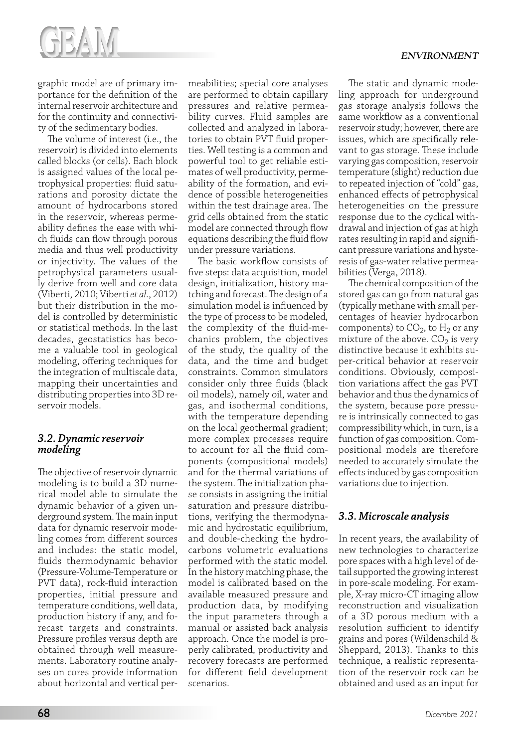

graphic model are of primary importance for the definition of the internal reservoir architecture and for the continuity and connectivity of the sedimentary bodies.

The volume of interest (i.e., the reservoir) is divided into elements called blocks (or cells). Each block is assigned values of the local petrophysical properties: fluid saturations and porosity dictate the amount of hydrocarbons stored in the reservoir, whereas permeability defines the ease with which fluids can flow through porous media and thus well productivity or injectivity. The values of the petrophysical parameters usually derive from well and core data (Viberti, 2010; Viberti *et al.*, 2012) but their distribution in the model is controlled by deterministic or statistical methods. In the last decades, geostatistics has become a valuable tool in geological modeling, offering techniques for the integration of multiscale data, mapping their uncertainties and distributing properties into 3D reservoir models.

#### *3.2. Dynamic reservoir modeling*

The objective of reservoir dynamic modeling is to build a 3D numerical model able to simulate the dynamic behavior of a given underground system. The main input data for dynamic reservoir modeling comes from different sources and includes: the static model, fluids thermodynamic behavior (Pressure-Volume-Temperature or PVT data), rock-fluid interaction properties, initial pressure and temperature conditions, well data, production history if any, and forecast targets and constraints. Pressure profiles versus depth are obtained through well measurements. Laboratory routine analyses on cores provide information about horizontal and vertical permeabilities; special core analyses are performed to obtain capillary pressures and relative permeability curves. Fluid samples are collected and analyzed in laboratories to obtain PVT fluid properties. Well testing is a common and powerful tool to get reliable estimates of well productivity, permeability of the formation, and evidence of possible heterogeneities within the test drainage area. The grid cells obtained from the static model are connected through flow equations describing the fluid flow under pressure variations.

The basic workflow consists of five steps: data acquisition, model design, initialization, history matching and forecast. The design of a simulation model is influenced by the type of process to be modeled, the complexity of the fluid-mechanics problem, the objectives of the study, the quality of the data, and the time and budget constraints. Common simulators consider only three fluids (black oil models), namely oil, water and gas, and isothermal conditions, with the temperature depending on the local geothermal gradient; more complex processes require to account for all the fluid components (compositional models) and for the thermal variations of the system. The initialization phase consists in assigning the initial saturation and pressure distributions, verifying the thermodynamic and hydrostatic equilibrium, and double-checking the hydrocarbons volumetric evaluations performed with the static model. In the history matching phase, the model is calibrated based on the available measured pressure and production data, by modifying the input parameters through a manual or assisted back analysis approach. Once the model is properly calibrated, productivity and recovery forecasts are performed for different field development scenarios.

The static and dynamic modeling approach for underground gas storage analysis follows the same workflow as a conventional reservoir study; however, there are issues, which are specifically relevant to gas storage. These include varying gas composition, reservoir temperature (slight) reduction due to repeated injection of "cold" gas, enhanced effects of petrophysical heterogeneities on the pressure response due to the cyclical withdrawal and injection of gas at high rates resulting in rapid and significant pressure variations and hysteresis of gas-water relative permeabilities (Verga, 2018).

The chemical composition of the stored gas can go from natural gas (typically methane with small percentages of heavier hydrocarbon components) to  $CO<sub>2</sub>$ , to  $H<sub>2</sub>$  or any mixture of the above.  $CO<sub>2</sub>$  is very distinctive because it exhibits super-critical behavior at reservoir conditions. Obviously, composition variations affect the gas PVT behavior and thus the dynamics of the system, because pore pressure is intrinsically connected to gas compressibility which, in turn, is a function of gas composition. Compositional models are therefore needed to accurately simulate the effects induced by gas composition variations due to injection.

# *3.3. Microscale analysis*

In recent years, the availability of new technologies to characterize pore spaces with a high level of detail supported the growing interest in pore-scale modeling. For example, X-ray micro-CT imaging allow reconstruction and visualization of a 3D porous medium with a resolution sufficient to identify grains and pores (Wildenschild & Sheppard, 2013). Thanks to this technique, a realistic representation of the reservoir rock can be obtained and used as an input for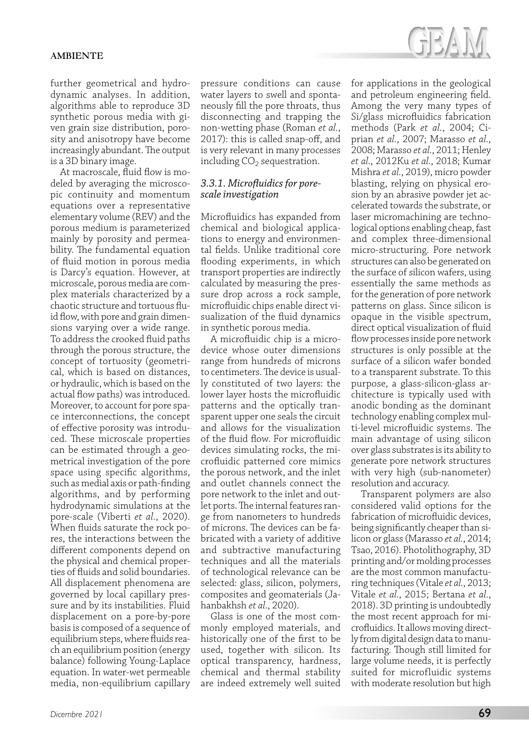further geometrical and hydrodynamic analyses. In addition, algorithms able to reproduce 3D synthetic porous media with given grain size distribution, porosity and anisotropy have become increasingly abundant. The output is a 3D binary image.

At macroscale, fluid flow is modeled by averaging the microscopic continuity and momentum equations over a representative elementary volume (REV) and the porous medium is parameterized mainly by porosity and permeability. The fundamental equation of fluid motion in porous media is Darcy's equation. However, at microscale, porous media are complex materials characterized by a chaotic structure and tortuous fluid flow, with pore and grain dimensions varying over a wide range. To address the crooked fluid paths through the porous structure, the concept of tortuosity (geometrical, which is based on distances, or hydraulic, which is based on the actual flow paths) was introduced. Moreover, to account for pore space interconnections, the concept of effective porosity was introduced. These microscale properties can be estimated through a geometrical investigation of the pore space using specific algorithms, such as medial axis or path-finding algorithms, and by performing hydrodynamic simulations at the pore-scale (Viberti *et al.*, 2020). When fluids saturate the rock pores, the interactions between the different components depend on the physical and chemical properties of fluids and solid boundaries. All displacement phenomena are governed by local capillary pressure and by its instabilities. Fluid displacement on a pore-by-pore basis is composed of a sequence of equilibrium steps, where fluids reach an equilibrium position (energy balance) following Young-Laplace equation. In water-wet permeable media, non-equilibrium capillary

pressure conditions can cause water layers to swell and spontaneously fill the pore throats, thus disconnecting and trapping the non-wetting phase (Roman *et al.*, 2017): this is called snap-off, and is very relevant in many processes including  $CO<sub>2</sub>$  sequestration.

#### *3.3.1. Microfluidics for porescale investigation*

Microfluidics has expanded from chemical and biological applications to energy and environmental fields. Unlike traditional core flooding experiments, in which transport properties are indirectly calculated by measuring the pressure drop across a rock sample, microfluidic chips enable direct visualization of the fluid dynamics in synthetic porous media.

A microfluidic chip is a microdevice whose outer dimensions range from hundreds of microns to centimeters. The device is usually constituted of two layers: the lower layer hosts the microfluidic patterns and the optically transparent upper one seals the circuit and allows for the visualization of the fluid flow. For microfluidic devices simulating rocks, the microfluidic patterned core mimics the porous network, and the inlet and outlet channels connect the pore network to the inlet and outlet ports. The internal features range from nanometers to hundreds of microns. The devices can be fabricated with a variety of additive and subtractive manufacturing techniques and all the materials of technological relevance can be selected: glass, silicon, polymers, composites and geomaterials (Jahanbakhsh *et al.*, 2020).

Glass is one of the most commonly employed materials, and historically one of the first to be used, together with silicon. Its optical transparency, hardness, chemical and thermal stability are indeed extremely well suited



for applications in the geological and petroleum engineering field. Among the very many types of Si/glass microfluidics fabrication methods (Park *et al.*, 2004; Ciprian *et al.*, 2007; Marasso *et al.*, 2008; Marasso *et al.*, 2011; Henley *et al.*, 2012Ku *et al.*, 2018; Kumar Mishra *et al.*, 2019), micro powder blasting, relying on physical erosion by an abrasive powder jet accelerated towards the substrate, or laser micromachining are technological options enabling cheap, fast and complex three-dimensional micro-structuring. Pore network structures can also be generated on the surface of silicon wafers, using essentially the same methods as for the generation of pore network patterns on glass. Since silicon is opaque in the visible spectrum, direct optical visualization of fluid flow processes inside pore network structures is only possible at the surface of a silicon wafer bonded to a transparent substrate. To this purpose, a glass-silicon-glass architecture is typically used with anodic bonding as the dominant technology enabling complex multi-level microfluidic systems. The main advantage of using silicon over glass substrates is its ability to generate pore network structures with very high (sub-nanometer) resolution and accuracy.

Transparent polymers are also considered valid options for the fabrication of microfluidic devices, being significantly cheaper than silicon or glass (Marasso *et al.*, 2014; Tsao, 2016). Photolithography, 3D printing and/or molding processes are the most common manufacturing techniques (Vitale *et al.*, 2013; Vitale *et al.*, 2015; Bertana *et al.*, 2018). 3D printing is undoubtedly the most recent approach for microfluidics. It allows moving directly from digital design data to manufacturing. Though still limited for large volume needs, it is perfectly suited for microfluidic systems with moderate resolution but high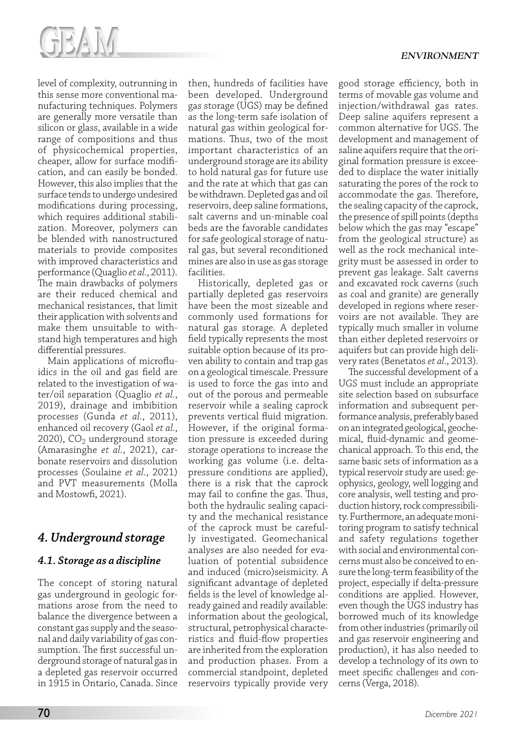

level of complexity, outrunning in this sense more conventional manufacturing techniques. Polymers are generally more versatile than silicon or glass, available in a wide range of compositions and thus of physicochemical properties, cheaper, allow for surface modification, and can easily be bonded. However, this also implies that the surface tends to undergo undesired modifications during processing, which requires additional stabilization. Moreover, polymers can be blended with nanostructured materials to provide composites with improved characteristics and performance (Quaglio *et al.*, 2011). The main drawbacks of polymers are their reduced chemical and mechanical resistances, that limit their application with solvents and make them unsuitable to withstand high temperatures and high differential pressures.

Main applications of microfluidics in the oil and gas field are related to the investigation of water/oil separation (Quaglio *et al.*, 2019), drainage and imbibition processes (Gunda *et al.*, 2011), enhanced oil recovery (Gaol *et al.*, 2020),  $CO<sub>2</sub>$  underground storage (Amarasinghe *et al.*, 2021), carbonate reservoirs and dissolution processes (Soulaine *et al.*, 2021) and PVT measurements (Molla and Mostowfi, 2021).

# *4. Underground storage*

# *4.1. Storage as a discipline*

The concept of storing natural gas underground in geologic formations arose from the need to balance the divergence between a constant gas supply and the seasonal and daily variability of gas consumption. The first successful underground storage of natural gas in a depleted gas reservoir occurred in 1915 in Ontario, Canada. Since

then, hundreds of facilities have been developed. Underground gas storage (UGS) may be defined as the long-term safe isolation of natural gas within geological formations. Thus, two of the most important characteristics of an underground storage are its ability to hold natural gas for future use and the rate at which that gas can be withdrawn. Depleted gas and oil reservoirs, deep saline formations, salt caverns and un-minable coal beds are the favorable candidates for safe geological storage of natural gas, but several reconditioned mines are also in use as gas storage facilities.

Historically, depleted gas or partially depleted gas reservoirs have been the most sizeable and commonly used formations for natural gas storage. A depleted field typically represents the most suitable option because of its proven ability to contain and trap gas on a geological timescale. Pressure is used to force the gas into and out of the porous and permeable reservoir while a sealing caprock prevents vertical fluid migration. However, if the original formation pressure is exceeded during storage operations to increase the working gas volume (i.e. deltapressure conditions are applied), there is a risk that the caprock may fail to confine the gas. Thus, both the hydraulic sealing capacity and the mechanical resistance of the caprock must be carefully investigated. Geomechanical analyses are also needed for evaluation of potential subsidence and induced (micro)seismicity. A significant advantage of depleted fields is the level of knowledge already gained and readily available: information about the geological, structural, petrophysical characteristics and fluid-flow properties are inherited from the exploration and production phases. From a commercial standpoint, depleted reservoirs typically provide very

good storage efficiency, both in terms of movable gas volume and injection/withdrawal gas rates. Deep saline aquifers represent a common alternative for UGS. The development and management of saline aquifers require that the original formation pressure is exceeded to displace the water initially saturating the pores of the rock to accommodate the gas. Therefore, the sealing capacity of the caprock, the presence of spill points (depths below which the gas may "escape" from the geological structure) as well as the rock mechanical integrity must be assessed in order to prevent gas leakage. Salt caverns and excavated rock caverns (such as coal and granite) are generally developed in regions where reservoirs are not available. They are typically much smaller in volume than either depleted reservoirs or aquifers but can provide high delivery rates (Benetatos *et al.*, 2013).

The successful development of a UGS must include an appropriate site selection based on subsurface information and subsequent performance analysis, preferably based on an integrated geological, geochemical, fluid-dynamic and geomechanical approach. To this end, the same basic sets of information as a typical reservoir study are used: geophysics, geology, well logging and core analysis, well testing and production history, rock compressibility. Furthermore, an adequate monitoring program to satisfy technical and safety regulations together with social and environmental concerns must also be conceived to ensure the long-term feasibility of the project, especially if delta-pressure conditions are applied. However, even though the UGS industry has borrowed much of its knowledge from other industries (primarily oil and gas reservoir engineering and production), it has also needed to develop a technology of its own to meet specific challenges and concerns (Verga, 2018).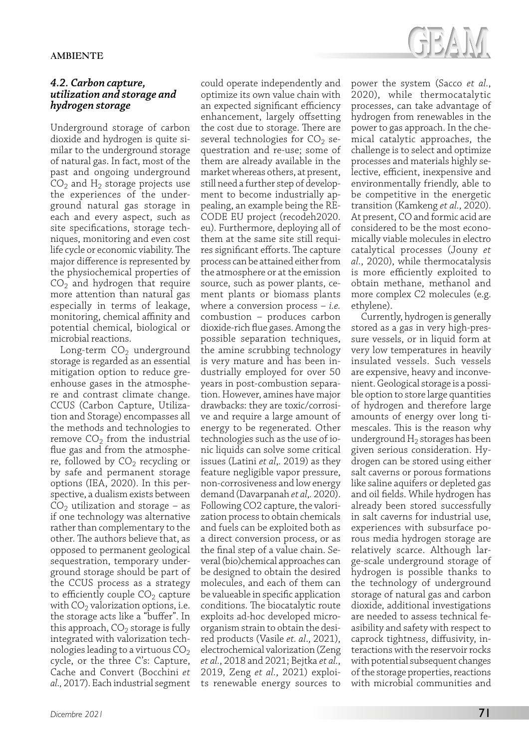#### *4.2. Carbon capture, utilization and storage and hydrogen storage*

Underground storage of carbon dioxide and hydrogen is quite similar to the underground storage of natural gas. In fact, most of the past and ongoing underground  $CO<sub>2</sub>$  and H<sub>2</sub> storage projects use the experiences of the underground natural gas storage in each and every aspect, such as site specifications, storage techniques, monitoring and even cost life cycle or economic viability. The major difference is represented by the physiochemical properties of  $CO<sub>2</sub>$  and hydrogen that require more attention than natural gas especially in terms of leakage, monitoring, chemical affinity and potential chemical, biological or microbial reactions.

Long-term  $CO<sub>2</sub>$  underground storage is regarded as an essential mitigation option to reduce greenhouse gases in the atmosphere and contrast climate change. CCUS (Carbon Capture, Utilization and Storage) encompasses all the methods and technologies to remove  $CO<sub>2</sub>$  from the industrial flue gas and from the atmosphere, followed by  $CO<sub>2</sub>$  recycling or by safe and permanent storage options (IEA, 2020). In this perspective, a dualism exists between  $CO<sub>2</sub>$  utilization and storage – as if one technology was alternative rather than complementary to the other. The authors believe that, as opposed to permanent geological sequestration, temporary underground storage should be part of the CCUS process as a strategy to efficiently couple  $CO<sub>2</sub>$  capture with  $CO<sub>2</sub>$  valorization options, i.e. the storage acts like a "buffer". In this approach,  $CO<sub>2</sub>$  storage is fully integrated with valorization technologies leading to a virtuous  $CO<sub>2</sub>$ cycle, or the three C's: Capture, Cache and Convert (Bocchini *et al.,* 2017). Each industrial segment

could operate independently and optimize its own value chain with an expected significant efficiency enhancement, largely offsetting the cost due to storage. There are several technologies for  $CO<sub>2</sub>$  sequestration and re-use; some of them are already available in the market whereas others, at present, still need a further step of development to become industrially appealing, an example being the RE-CODE EU project (recodeh2020. eu). Furthermore, deploying all of them at the same site still requires significant efforts. The capture process can be attained either from the atmosphere or at the emission source, such as power plants, cement plants or biomass plants where a conversion process – *i.e.* combustion – produces carbon dioxide-rich flue gases. Among the possible separation techniques, the amine scrubbing technology is very mature and has been industrially employed for over 50 years in post-combustion separation. However, amines have major drawbacks: they are toxic/corrosive and require a large amount of energy to be regenerated. Other technologies such as the use of ionic liquids can solve some critical issues (Latini *et al*,*.* 2019) as they feature negligible vapor pressure, non-corrosiveness and low energy demand (Davarpanah *et al*,*.* 2020). Following CO2 capture, the valorization process to obtain chemicals and fuels can be exploited both as a direct conversion process, or as the final step of a value chain. Several (bio)chemical approaches can be designed to obtain the desired molecules, and each of them can be valueable in specific application conditions. The biocatalytic route exploits ad-hoc developed microorganism strain to obtain the desired products (Vasile *et. al*., 2021), electrochemical valorization (Zeng *et al.*, 2018 and 2021; Bejtka *et al.*, 2019, Zeng *et al.*, 2021) exploits renewable energy sources to



power the system (Sacco *et al.*, 2020), while thermocatalytic processes, can take advantage of hydrogen from renewables in the power to gas approach. In the chemical catalytic approaches, the challenge is to select and optimize processes and materials highly selective, efficient, inexpensive and environmentally friendly, able to be competitive in the energetic transition (Kamkeng *et al.*, 2020). At present, CO and formic acid are considered to be the most economically viable molecules in electro catalytical processes (Jouny *et al.*, 2020), while thermocatalysis is more efficiently exploited to obtain methane, methanol and more complex C2 molecules (e.g. ethylene).

Currently, hydrogen is generally stored as a gas in very high-pressure vessels, or in liquid form at very low temperatures in heavily insulated vessels. Such vessels are expensive, heavy and inconvenient. Geological storage is a possible option to store large quantities of hydrogen and therefore large amounts of energy over long timescales. This is the reason why underground  $H_2$  storages has been given serious consideration. Hydrogen can be stored using either salt caverns or porous formations like saline aquifers or depleted gas and oil fields. While hydrogen has already been stored successfully in salt caverns for industrial use, experiences with subsurface porous media hydrogen storage are relatively scarce. Although large-scale underground storage of hydrogen is possible thanks to the technology of underground storage of natural gas and carbon dioxide, additional investigations are needed to assess technical feasibility and safety with respect to caprock tightness, diffusivity, interactions with the reservoir rocks with potential subsequent changes of the storage properties, reactions with microbial communities and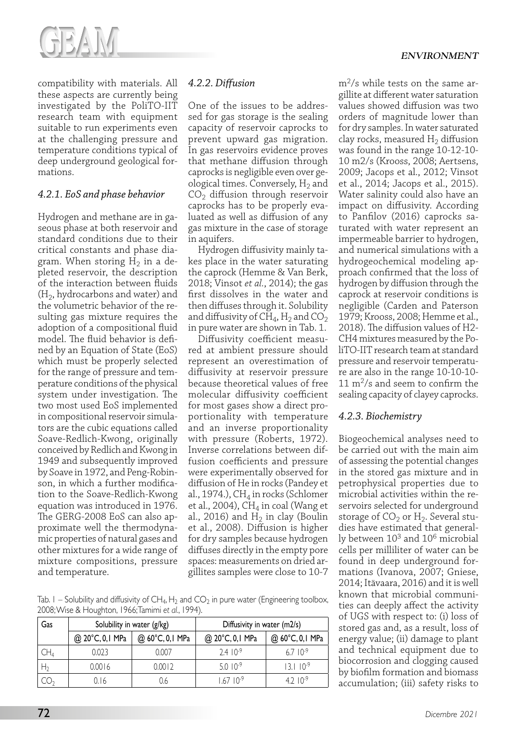

compatibility with materials. All these aspects are currently being investigated by the PoliTO-IIT research team with equipment suitable to run experiments even at the challenging pressure and temperature conditions typical of deep underground geological formations.

# *4.2.1. EoS and phase behavior*

Hydrogen and methane are in gaseous phase at both reservoir and standard conditions due to their critical constants and phase diagram. When storing  $H_2$  in a depleted reservoir, the description of the interaction between fluids  $(H<sub>2</sub>, hydrocarbons and water)$  and the volumetric behavior of the resulting gas mixture requires the adoption of a compositional fluid model. The fluid behavior is defined by an Equation of State (EoS) which must be properly selected for the range of pressure and temperature conditions of the physical system under investigation. The two most used EoS implemented in compositional reservoir simulators are the cubic equations called Soave-Redlich-Kwong, originally conceived by Redlich and Kwong in 1949 and subsequently improved by Soave in 1972, and Peng-Robinson, in which a further modification to the Soave-Redlich-Kwong equation was introduced in 1976. The GERG-2008 EoS can also approximate well the thermodynamic properties of natural gases and other mixtures for a wide range of mixture compositions, pressure and temperature.

# *4.2.2. Diffusion*

One of the issues to be addressed for gas storage is the sealing capacity of reservoir caprocks to prevent upward gas migration. In gas reservoirs evidence proves that methane diffusion through caprocks is negligible even over geological times. Conversely,  $H_2$  and  $CO<sub>2</sub>$  diffusion through reservoir caprocks has to be properly evaluated as well as diffusion of any gas mixture in the case of storage in aquifers.

Hydrogen diffusivity mainly takes place in the water saturating the caprock (Hemme & Van Berk, 2018; Vinsot *et al.*, 2014); the gas first dissolves in the water and then diffuses through it. Solubility and diffusivity of  $CH_4$ ,  $H_2$  and  $CO_2$ in pure water are shown in Tab. 1.

Diffusivity coefficient measured at ambient pressure should represent an overestimation of diffusivity at reservoir pressure because theoretical values of free molecular diffusivity coefficient for most gases show a direct proportionality with temperature and an inverse proportionality with pressure (Roberts, 1972). Inverse correlations between diffusion coefficients and pressure were experimentally observed for diffusion of He in rocks (Pandey et al., 1974.),  $CH<sub>4</sub>$  in rocks (Schlomer et al., 2004),  $CH<sub>4</sub>$  in coal (Wang et al., 2016) and  $H_2$  in clay (Boulin et al., 2008). Diffusion is higher for dry samples because hydrogen diffuses directly in the empty pore spaces: measurements on dried argillites samples were close to 10-7

Tab.  $I$  – Solubility and diffusivity of CH<sub>4</sub>, H<sub>2</sub> and CO<sub>2</sub> in pure water (Engineering toolbox, 2008; Wise & Houghton, 1966; Tamimi *et al.*, 1994).

| Gas            | Solubility in water (g/kg) |                 | Diffusivity in water (m2/s) |                      |
|----------------|----------------------------|-----------------|-----------------------------|----------------------|
|                | @ 20°C, 0,1 MPa            | @ 60°C, 0,1 MPa | @ 20°C, 0,1 MPa             | @ 60°C, 0,1 MPa      |
| CH4            | 0.023                      | 0.007           | $2.4 \cdot 10^{-9}$         | $6.7 \, 10^{-9}$     |
| H <sub>2</sub> | 0.0016                     | 0.0012          | $5.010^{-9}$                | $13.1 \cdot 10^{-9}$ |
|                | 0. I 6                     | ).6             | $6710-9$                    | 4 2 $10^{-9}$        |

 $\rm m^2/s$  while tests on the same argillite at different water saturation values showed diffusion was two orders of magnitude lower than for dry samples. In water saturated clay rocks, measured  $H_2$  diffusion was found in the range 10-12-10- 10 m2/s (Krooss, 2008; Aertsens, 2009; Jacops et al., 2012; Vinsot et al., 2014; Jacops et al., 2015). Water salinity could also have an impact on diffusivity. According to Panfilov (2016) caprocks saturated with water represent an impermeable barrier to hydrogen, and numerical simulations with a hydrogeochemical modeling approach confirmed that the loss of hydrogen by diffusion through the caprock at reservoir conditions is negligible (Carden and Paterson 1979; Krooss, 2008; Hemme et al., 2018). The diffusion values of H2- CH4 mixtures measured by the PoliTO-IIT research team at standard pressure and reservoir temperature are also in the range 10-10-10-  $11 \text{ m}^2$ /s and seem to confirm the sealing capacity of clayey caprocks.

# *4.2.3. Biochemistry*

Biogeochemical analyses need to be carried out with the main aim of assessing the potential changes in the stored gas mixture and in petrophysical properties due to microbial activities within the reservoirs selected for underground storage of  $CO<sub>2</sub>$  or  $H<sub>2</sub>$ . Several studies have estimated that generally between 103 and 106 microbial cells per milliliter of water can be found in deep underground formations (Ivanova, 2007; Gniese, 2014; Itävaara, 2016) and it is well known that microbial communities can deeply affect the activity of UGS with respect to: (i) loss of stored gas and, as a result, loss of energy value; (ii) damage to plant and technical equipment due to biocorrosion and clogging caused by biofilm formation and biomass accumulation; (iii) safety risks to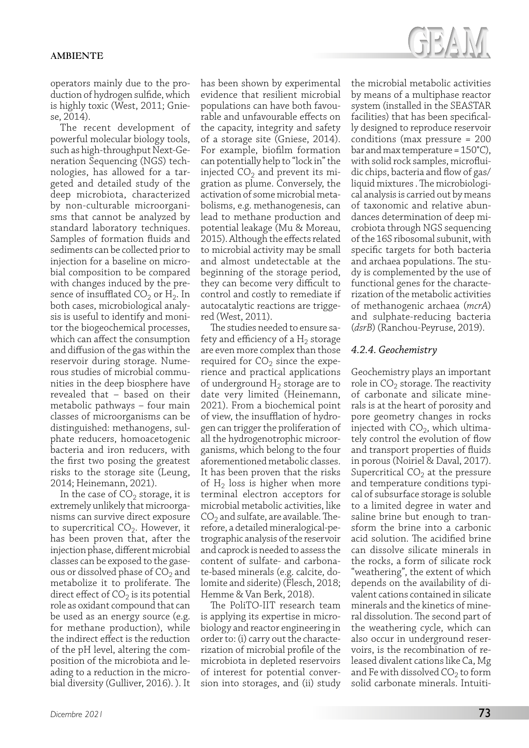

operators mainly due to the production of hydrogen sulfide, which is highly toxic (West, 2011; Gniese, 2014).

The recent development of powerful molecular biology tools, such as high-throughput Next-Generation Sequencing (NGS) technologies, has allowed for a targeted and detailed study of the deep microbiota, characterized by non-culturable microorganisms that cannot be analyzed by standard laboratory techniques. Samples of formation fluids and sediments can be collected prior to injection for a baseline on microbial composition to be compared with changes induced by the presence of insufflated  $CO<sub>2</sub>$  or H<sub>2</sub>. In both cases, microbiological analysis is useful to identify and monitor the biogeochemical processes, which can affect the consumption and diffusion of the gas within the reservoir during storage. Numerous studies of microbial communities in the deep biosphere have revealed that – based on their metabolic pathways – four main classes of microorganisms can be distinguished: methanogens, sulphate reducers, homoacetogenic bacteria and iron reducers, with the first two posing the greatest risks to the storage site (Leung, 2014; Heinemann, 2021).

In the case of  $CO<sub>2</sub>$  storage, it is extremely unlikely that microorganisms can survive direct exposure to supercritical  $CO<sub>2</sub>$ . However, it has been proven that, after the injection phase, different microbial classes can be exposed to the gaseous or dissolved phase of  $CO<sub>2</sub>$  and metabolize it to proliferate. The direct effect of  $CO<sub>2</sub>$  is its potential role as oxidant compound that can be used as an energy source (e.g. for methane production), while the indirect effect is the reduction of the pH level, altering the composition of the microbiota and leading to a reduction in the microbial diversity (Gulliver, 2016). ). It

has been shown by experimental evidence that resilient microbial populations can have both favourable and unfavourable effects on the capacity, integrity and safety of a storage site (Gniese, 2014). For example, biofilm formation can potentially help to "lock in" the injected  $CO<sub>2</sub>$  and prevent its migration as plume. Conversely, the activation of some microbial metabolisms, e.g. methanogenesis, can lead to methane production and potential leakage (Mu & Moreau, 2015). Although the effects related to microbial activity may be small and almost undetectable at the beginning of the storage period, they can become very difficult to control and costly to remediate if autocatalytic reactions are triggered (West, 2011).

The studies needed to ensure safety and efficiency of a  $H<sub>2</sub>$  storage are even more complex than those required for  $CO<sub>2</sub>$  since the experience and practical applications of underground  $H_2$  storage are to date very limited (Heinemann, 2021). From a biochemical point of view, the insufflation of hydrogen can trigger the proliferation of all the hydrogenotrophic microorganisms, which belong to the four aforementioned metabolic classes. It has been proven that the risks of  $H_2$  loss is higher when more terminal electron acceptors for microbial metabolic activities, like  $CO<sub>2</sub>$  and sulfate, are available. Therefore, a detailed mineralogical-petrographic analysis of the reservoir and caprock is needed to assess the content of sulfate- and carbonate-based minerals (e.g. calcite, dolomite and siderite) (Flesch, 2018; Hemme & Van Berk, 2018).

The PoliTO-IIT research team is applying its expertise in microbiology and reactor engineering in order to: (i) carry out the characterization of microbial profile of the microbiota in depleted reservoirs of interest for potential conversion into storages, and (ii) study the microbial metabolic activities by means of a multiphase reactor system (installed in the SEASTAR facilities) that has been specifically designed to reproduce reservoir conditions (max pressure = 200 bar and max temperature = 150°C), with solid rock samples, microfluidic chips, bacteria and flow of gas/ liquid mixtures . The microbiological analysis is carried out by means of taxonomic and relative abundances determination of deep microbiota through NGS sequencing of the 16S ribosomal subunit, with specific targets for both bacteria and archaea populations. The study is complemented by the use of functional genes for the characterization of the metabolic activities of methanogenic archaea (*mcrA*) and sulphate-reducing bacteria (*dsrB*) (Ranchou-Peyruse, 2019).

# *4.2.4. Geochemistry*

Geochemistry plays an important role in  $CO<sub>2</sub>$  storage. The reactivity of carbonate and silicate minerals is at the heart of porosity and pore geometry changes in rocks injected with  $CO<sub>2</sub>$ , which ultimately control the evolution of flow and transport properties of fluids in porous (Noiriel & Daval, 2017). Supercritical  $CO<sub>2</sub>$  at the pressure and temperature conditions typical of subsurface storage is soluble to a limited degree in water and saline brine but enough to transform the brine into a carbonic acid solution. The acidified brine can dissolve silicate minerals in the rocks, a form of silicate rock "weathering", the extent of which depends on the availability of divalent cations contained in silicate minerals and the kinetics of mineral dissolution. The second part of the weathering cycle, which can also occur in underground reservoirs, is the recombination of released divalent cations like Ca, Mg and Fe with dissolved  $CO<sub>2</sub>$  to form solid carbonate minerals. Intuiti-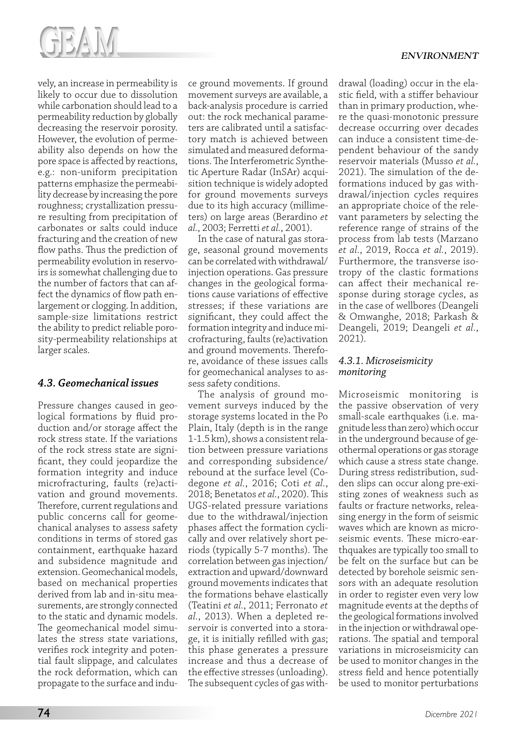

vely, an increase in permeability is likely to occur due to dissolution while carbonation should lead to a permeability reduction by globally decreasing the reservoir porosity. However, the evolution of permeability also depends on how the pore space is affected by reactions, e.g.: non-uniform precipitation patterns emphasize the permeability decrease by increasing the pore roughness; crystallization pressure resulting from precipitation of carbonates or salts could induce fracturing and the creation of new flow paths. Thus the prediction of permeability evolution in reservoirs is somewhat challenging due to the number of factors that can affect the dynamics of flow path enlargement or clogging. In addition, sample-size limitations restrict the ability to predict reliable porosity-permeability relationships at larger scales.

# *4.3. Geomechanical issues*

Pressure changes caused in geological formations by fluid production and/or storage affect the rock stress state. If the variations of the rock stress state are significant, they could jeopardize the formation integrity and induce microfracturing, faults (re)activation and ground movements. Therefore, current regulations and public concerns call for geomechanical analyses to assess safety conditions in terms of stored gas containment, earthquake hazard and subsidence magnitude and extension. Geomechanical models, based on mechanical properties derived from lab and in-situ measurements, are strongly connected to the static and dynamic models. The geomechanical model simulates the stress state variations, verifies rock integrity and potential fault slippage, and calculates the rock deformation, which can propagate to the surface and induce ground movements. If ground movement surveys are available, a back-analysis procedure is carried out: the rock mechanical parameters are calibrated until a satisfactory match is achieved between simulated and measured deformations. The Interferometric Synthetic Aperture Radar (InSAr) acquisition technique is widely adopted for ground movements surveys due to its high accuracy (millimeters) on large areas (Berardino *et al.*, 2003; Ferretti *et al.*, 2001).

In the case of natural gas storage, seasonal ground movements can be correlated with withdrawal/ injection operations. Gas pressure changes in the geological formations cause variations of effective stresses; if these variations are significant, they could affect the formation integrity and induce microfracturing, faults (re)activation and ground movements. Therefore, avoidance of these issues calls for geomechanical analyses to assess safety conditions.

The analysis of ground movement surveys induced by the storage systems located in the Po Plain, Italy (depth is in the range 1-1.5 km), shows a consistent relation between pressure variations and corresponding subsidence/ rebound at the surface level (Codegone *et al.*, 2016; Coti *et al.*, 2018; Benetatos *et al.*, 2020). This UGS-related pressure variations due to the withdrawal/injection phases affect the formation cyclically and over relatively short periods (typically 5-7 months). The correlation between gas injection/ extraction and upward/downward ground movements indicates that the formations behave elastically (Teatini *et al.*, 2011; Ferronato *et al.*, 2013). When a depleted reservoir is converted into a storage, it is initially refilled with gas; this phase generates a pressure increase and thus a decrease of the effective stresses (unloading). The subsequent cycles of gas withdrawal (loading) occur in the elastic field, with a stiffer behaviour than in primary production, where the quasi-monotonic pressure decrease occurring over decades can induce a consistent time-dependent behaviour of the sandy reservoir materials (Musso *et al.*, 2021). The simulation of the deformations induced by gas withdrawal/injection cycles requires an appropriate choice of the relevant parameters by selecting the reference range of strains of the process from lab tests (Marzano *et al.*, 2019, Rocca *et al.*, 2019). Furthermore, the transverse isotropy of the clastic formations can affect their mechanical response during storage cycles, as in the case of wellbores (Deangeli & Omwanghe, 2018; Parkash & Deangeli, 2019; Deangeli *et al.*, 2021).

# *4.3.1. Microseismicity monitoring*

Microseismic monitoring is the passive observation of very small-scale earthquakes (i.e. magnitude less than zero) which occur in the underground because of geothermal operations or gas storage which cause a stress state change. During stress redistribution, sudden slips can occur along pre-existing zones of weakness such as faults or fracture networks, releasing energy in the form of seismic waves which are known as microseismic events. These micro-earthquakes are typically too small to be felt on the surface but can be detected by borehole seismic sensors with an adequate resolution in order to register even very low magnitude events at the depths of the geological formations involved in the injection or withdrawal operations. The spatial and temporal variations in microseismicity can be used to monitor changes in the stress field and hence potentially be used to monitor perturbations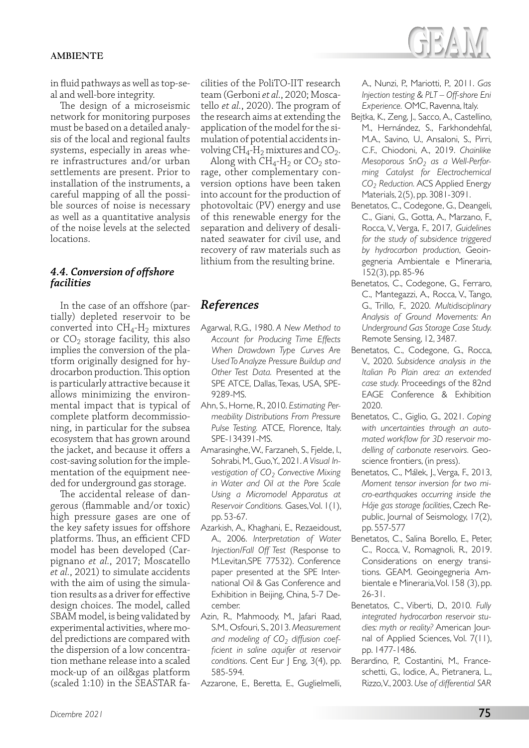

in fluid pathways as well as top-seal and well-bore integrity.

The design of a microseismic network for monitoring purposes must be based on a detailed analysis of the local and regional faults systems, especially in areas where infrastructures and/or urban settlements are present. Prior to installation of the instruments, a careful mapping of all the possible sources of noise is necessary as well as a quantitative analysis of the noise levels at the selected locations.

#### *4.4. Conversion of offshore facilities*

In the case of an offshore (partially) depleted reservoir to be converted into  $CH_4$ -H<sub>2</sub> mixtures or  $CO<sub>2</sub>$  storage facility, this also implies the conversion of the platform originally designed for hydrocarbon production. This option is particularly attractive because it allows minimizing the environmental impact that is typical of complete platform decommissioning, in particular for the subsea ecosystem that has grown around the jacket, and because it offers a cost-saving solution for the implementation of the equipment needed for underground gas storage.

The accidental release of dangerous (flammable and/or toxic) high pressure gases are one of the key safety issues for offshore platforms. Thus, an efficient CFD model has been developed (Carpignano *et al.*, 2017; Moscatello *et al.*, 2021) to simulate accidents with the aim of using the simulation results as a driver for effective design choices. The model, called SBAM model, is being validated by experimental activities, where model predictions are compared with the dispersion of a low concentration methane release into a scaled mock-up of an oil&gas platform (scaled 1:10) in the SEASTAR facilities of the PoliTO-IIT research team (Gerboni *et al.*, 2020; Moscatello *et al.*, 2020). The program of the research aims at extending the application of the model for the simulation of potential accidents involving  $CH_4$ -H<sub>2</sub> mixtures and CO<sub>2</sub>.

Along with  $CH_4$ -H<sub>2</sub> or  $CO_2$  storage, other complementary conversion options have been taken into account for the production of photovoltaic (PV) energy and use of this renewable energy for the separation and delivery of desalinated seawater for civil use, and recovery of raw materials such as lithium from the resulting brine.

# *References*

- Agarwal, R.G., 1980. *A New Method to Account for Producing Time Effects When Drawdown Type Curves Are Used To Analyze Pressure Buildup and Other Test Data.* Presented at the SPE ATCE, Dallas, Texas, USA, SPE-9289-MS.
- Ahn, S., Horne, R., 2010. *Estimating Permeability Distributions From Pressure Pulse Testing.* ATCE, Florence, Italy. SPE-134391-MS.
- Amarasinghe, W., Farzaneh, S., Fjelde, I., Sohrabi, M., Guo, Y., 2021. *A Visual Investigation of CO2 Convective Mixing in Water and Oil at the Pore Scale Using a Micromodel Apparatus at Reservoir Conditions.* Gases, Vol. 1(1), pp. 53-67.
- Azarkish, A., Khaghani, E., Rezaeidoust, A., 2006. *Interpretation of Water Injection/Fall Off Test* (Response to M.Levitan,SPE 77532). Conference paper presented at the SPE International Oil & Gas Conference and Exhibition in Beijing, China, 5-7 December.
- Azin, R., Mahmoody, M., Jafari Raad, S.M., Osfouri, S., 2013. *Measurement*  and modeling of CO<sub>2</sub> diffusion coef*ficient in saline aquifer at reservoir conditions*. Cent Eur J Eng, 3(4), pp. 585-594.
- Azzarone, E., Beretta, E., Guglielmelli,

A., Nunzi, P., Mariotti, P., 2011. *Gas Injection testing & PLT – Off-shore Eni Experience.* OMC, Ravenna, Italy.

- Bejtka, K., Zeng, J., Sacco, A., Castellino, M., Hernández, S., Farkhondehfal, M.A., Savino, U., Ansaloni, S., Pirri, C.F., Chiodoni, A., 2019. *Chainlike*  Mesoporous SnO<sub>2</sub> as a Well-Perfor*ming Catalyst for Electrochemical CO2 Reduction.* ACS Applied Energy Materials, 2(5), pp. 3081-3091.
- Benetatos, C., Codegone, G., Deangeli, C., Giani, G., Gotta, A., Marzano, F., Rocca, V., Verga, F., 2017, *Guidelines for the study of subsidence triggered by hydrocarbon production*, Geoingegneria Ambientale e Mineraria, 152(3), pp. 85-96
- Benetatos, C., Codegone, G., Ferraro, C., Mantegazzi, A., Rocca, V., Tango, G., Trillo, F., 2020. *Multidisciplinary Analysis of Ground Movements: An Underground Gas Storage Case Study.*  Remote Sensing, 12, 3487.
- Benetatos, C., Codegone, G., Rocca, V., 2020. *Subsidence analysis in the Italian Po Plain area: an extended case study.* Proceedings of the 82nd EAGE Conference & Exhibition 2020.
- Benetatos, C., Giglio, G., 2021. *Coping with uncertainties through an automated workflow for 3D reservoir modelling of carbonate reservoirs.* Geoscience frontiers, (in press).
- Benetatos, C., Málek, J., Verga, F., 2013, *Moment tensor inversion for two micro-earthquakes occurring inside the Háje gas storage facilities*, Czech Republic, Journal of Seismology, 17(2), pp. 557-577
- Benetatos, C., Salina Borello, E., Peter, C., Rocca, V., Romagnoli, R., 2019. Considerations on energy transitions. GEAM. Geoingegneria Ambientale e Mineraria, Vol. 158 (3), pp. 26-31.
- Benetatos, C., Viberti, D., 2010. *Fully integrated hydrocarbon reservoir studies: myth or reality?* American Journal of Applied Sciences, Vol. 7(11), pp. 1477-1486.
- Berardino, P., Costantini, M., Franceschetti, G., Iodice, A., Pietranera, L., Rizzo, V., 2003. *Use of differential SAR*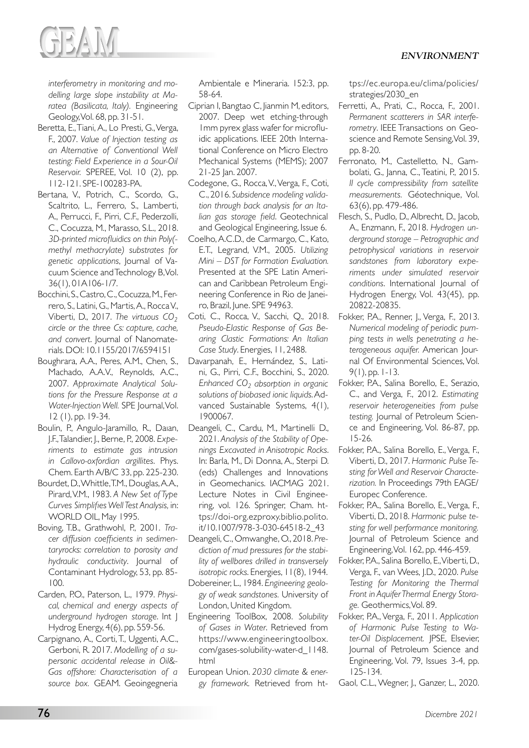

*interferometry in monitoring and modelling large slope instability at Maratea (Basilicata, Italy).* Engineering Geology, Vol. 68, pp. 31-51.

- Beretta, E., Tiani, A., Lo Presti, G., Verga, F., 2007. *Value of Injection testing as an Alternative of Conventional Well testing: Field Experience in a Sour-Oil Reservoir.* SPEREE, Vol. 10 (2), pp. 112-121. SPE-100283-PA.
- Bertana, V., Potrich, C., Scordo, G., Scaltrito, L., Ferrero, S., Lamberti, A., Perrucci, F., Pirri, C.F., Pederzolli, C., Cocuzza, M., Marasso, S.L., 2018. *3D-printed microfluidics on thin Poly( methyl methacrylate) substrates for genetic applications*, Journal of Vacuum Science and Technology B, Vol. 36(1), 01A106-1/7.
- Bocchini, S., Castro, C., Cocuzza, M., Ferrero, S., Latini, G., Martis, A., Rocca V., Viberti, D., 2017. *The virtuous CO<sub>2</sub> circle or the three Cs: capture, cache, and convert*. Journal of Nanomaterials. DOI: 10.1155/2017/6594151
- Boughrara, A.A., Peres, A.M., Chen, S., Machado, A.A.V., Reynolds, A.C., 2007. *Approximate Analytical Solutions for the Pressure Response at a Water-Injection Well.* SPE Journal, Vol. 12 (1), pp. 19-34.
- Boulin, P., Angulo-Jaramillo, R., Daıan, J.F., Talandier, J., Berne, P., 2008. *Experiments to estimate gas intrusion in Callovo-oxfordian argillites*. Phys. Chem. Earth A/B/C 33, pp. 225-230.
- Bourdet, D., Whittle, T.M., Douglas, A.A., Pirard, V.M., 1983. *A New Set of Type Curves Simplifies Well Test Analysis,* in: WORLD OIL, May 1995.
- Boving, T.B., Grathwohl, P., 2001. *Tracer diffusion coefficients in sedimentaryrocks: correlation to porosity and hydraulic conductivity*. Journal of Contaminant Hydrology, 53, pp. 85- 100.
- Carden, P.O., Paterson, L., 1979. *Physical, chemical and energy aspects of underground hydrogen storage*. Int J Hydrog Energy, 4(6), pp. 559-56.
- Carpignano, A., Corti, T., Uggenti, A.C., Gerboni, R. 2017. *Modelling of a supersonic accidental release in Oil&- Gas offshore: Characterisation of a source box.* GEAM. Geoingegneria

Ambientale e Mineraria. 152:3, pp. 58-64.

- Ciprian I, Bangtao C, Jianmin M, editors, 2007. Deep wet etching-through 1mm pyrex glass wafer for microfluidic applications. IEEE 20th International Conference on Micro Electro Mechanical Systems (MEMS); 2007 21-25 Jan. 2007.
- Codegone, G., Rocca, V., Verga, F., Coti, C., 2016. *Subsidence modeling validation through back analysis for an Italian gas storage field*. Geotechnical and Geological Engineering, Issue 6.
- Coelho, A.C.D., de Carmargo, C., Kato, E.T., Legrand, V.M., 2005. *Utilizing Mini – DST for Formation Evaluation.*  Presented at the SPE Latin American and Caribbean Petroleum Engineering Conference in Rio de Janeiro, Brazil, June. SPE 94963.
- Coti, C., Rocca, V., Sacchi, Q., 2018. *Pseudo-Elastic Response of Gas Bearing Clastic Formations: An Italian Case Study*. Energies, 11, 2488.
- Davarpanah, E., Hernández, S., Latini, G., Pirri, C.F., Bocchini, S., 2020. *Enhanced CO2 absorption in organic solutions of biobased ionic liquids*. Advanced Sustainable Systems, 4(1), 1900067.
- Deangeli, C., Cardu, M., Martinelli D., 2021. *Analysis of the Stability of Openings Excavated in Anisotropic Rocks*. In: Barla, M., Di Donna, A., Sterpi D. (eds) Challenges and Innovations in Geomechanics. IACMAG 2021. Lecture Notes in Civil Engineering, vol. 126. Springer, Cham. https://doi-org.ezproxy.biblio.polito. it/10.1007/978-3-030-64518-2\_43
- Deangeli, C., Omwanghe, O., 2018. *Prediction of mud pressures for the stability of wellbores drilled in transversely isotropic rocks*. Energies, 11(8), 1944.
- Dobereiner, L., 1984. *Engineering geology of weak sandstones.* University of London, United Kingdom.
- Engineering ToolBox, 2008. *Solubility of Gases in Water*. Retrieved from https://www.engineeringtoolbox. com/gases-solubility-water-d\_1148. html
- European Union. *2030 climate & energy framework.* Retrieved from ht-

tps://ec.europa.eu/clima/policies/ strategies/2030\_en

- Ferretti, A., Prati, C., Rocca, F., 2001. *Permanent scatterers in SAR interferometry*. IEEE Transactions on Geoscience and Remote Sensing, Vol. 39, pp. 8-20.
- Ferronato, M., Castelletto, N., Gambolati, G., Janna, C., Teatini, P., 2015. *II cycle compressibility from satellite measurements.* Géotechnique, Vol. 63(6), pp. 479-486.
- Flesch, S., Pudlo, D., Albrecht, D., Jacob, A., Enzmann, F., 2018. *Hydrogen underground storage – Petrographic and petrophysical variations in reservoir sandstones from laboratory experiments under simulated reservoir conditions*. International Journal of Hydrogen Energy, Vol. 43(45), pp. 20822-20835.
- Fokker, P.A., Renner, J., Verga, F., 2013. *Numerical modeling of periodic pumping tests in wells penetrating a heterogeneous aquifer.* American Journal Of Environmental Sciences, Vol. 9(1), pp. 1-13.
- Fokker, P.A., Salina Borello, E., Serazio, C., and Verga, F., 2012. *Estimating reservoir heterogeneities from pulse testing.* Journal of Petroleum Science and Engineering, Vol. 86-87, pp. 15-26.
- Fokker, P.A., Salina Borello, E., Verga, F., Viberti, D., 2017. *Harmonic Pulse Testing for Well and Reservoir Characterization.* In Proceedings 79th EAGE/ Europec Conference.
- Fokker, P.A., Salina Borello, E., Verga, F., Viberti, D., 2018. *Harmonic pulse testing for well performance monitoring.* Journal of Petroleum Science and Engineering, Vol. 162, pp. 446-459.
- Fokker, P.A., Salina Borello, E., Viberti, D., Verga, F., van Wees, J.D., 2020. *Pulse Testing for Monitoring the Thermal Front in Aquifer Thermal Energy Storage.* Geothermics, Vol. 89.
- Fokker, P.A., Verga, F., 2011. *Application of Harmonic Pulse Testing to Water-Oil Displacement.* JPSE, Elsevier, Journal of Petroleum Science and Engineering, Vol. 79, Issues 3-4, pp. 125-134.

Gaol, C.L., Wegner, J., Ganzer, L., 2020.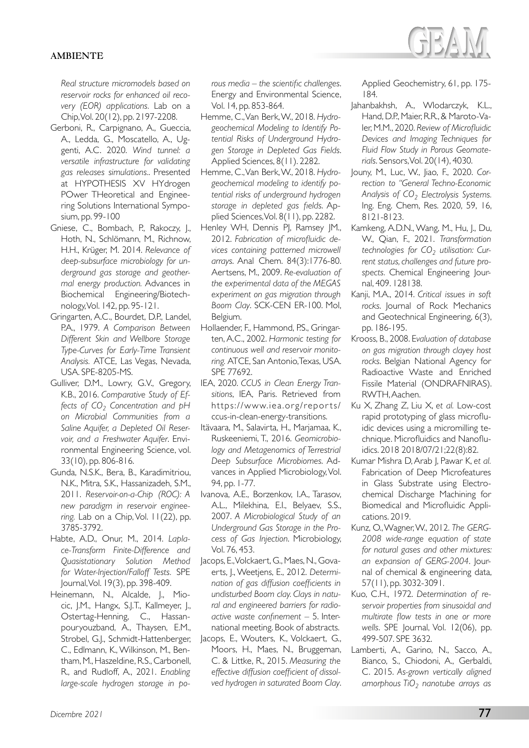*Real structure micromodels based on reservoir rocks for enhanced oil recovery (EOR) applications.* Lab on a Chip, Vol. 20(12), pp. 2197-2208.

- Gerboni, R., Carpignano, A., Gueccia, A., Ledda, G., Moscatello, A., Uggenti, A.C. 2020. *Wind tunnel: a versatile infrastructure for validating gas releases simulations.*. Presented at HYPOTHESIS XV HYdrogen POwer THeoretical and Engineering Solutions International Symposium, pp. 99-100
- Gniese, C., Bombach, P., Rakoczy, J., Hoth, N., Schlömann, M., Richnow, H.H., Krüger, M. 2014. *Relevance of deep-subsurface microbiology for underground gas storage and geothermal energy production.* Advances in Biochemical Engineering/Biotechnology, Vol. 142, pp. 95-121.
- Gringarten, A.C., Bourdet, D.P., Landel, P.A., 1979. *A Comparison Between Different Skin and Wellbore Storage Type-Curves for Early-Time Transient Analysis.* ATCE, Las Vegas, Nevada, USA. SPE-8205-MS.
- Gulliver, D.M., Lowry, G.V., Gregory, K.B., 2016. *Comparative Study of Effects of CO<sub>2</sub> Concentration and pH on Microbial Communities from a Saline Aquifer, a Depleted Oil Reservoir, and a Freshwater Aquifer*. Environmental Engineering Science, vol. 33(10), pp. 806-816.
- Gunda, N.S.K., Bera, B., Karadimitriou, N.K., Mitra, S.K., Hassanizadeh, S.M., 2011. *Reservoir-on-a-Chip (ROC): A new paradigm in reservoir engineering.* Lab on a Chip, Vol. 11(22), pp. 3785-3792.
- Habte, A.D., Onur, M., 2014. *Laplace-Transform Finite-Difference and Quasistationary Solution Method for Water-Injection/Falloff Tests.* SPE Journal, Vol. 19(3), pp. 398-409.
- Heinemann, N., Alcalde, J., Miocic, J.M., Hangx, S.J.T., Kallmeyer, J., Ostertag-Henning, C., Hassanpouryouzband, A., Thaysen, E.M., Strobel, G.J., Schmidt-Hattenberger, C., Edlmann, K., Wilkinson, M., Bentham, M., Haszeldine, R.S., Carbonell, R., and Rudloff, A., 2021. *Enabling large-scale hydrogen storage in po-*

*rous media – the scientific challenges*. Energy and Environmental Science, Vol. 14, pp. 853-864.

- Hemme, C., Van Berk, W., 2018. *Hydrogeochemical Modeling to Identify Potential Risks of Underground Hydrogen Storage in Depleted Gas Fields*. Applied Sciences, 8(11). 2282.
- Hemme, C., Van Berk, W., 2018. *Hydrogeochemical modeling to identify potential risks of underground hydrogen storage in depleted gas fields*. Applied Sciences, Vol. 8(11), pp. 2282.
- Henley WH, Dennis PJ, Ramsey JM., 2012. *Fabrication of microfluidic devices containing patterned microwell arrays*. Anal Chem. 84(3):1776-80. Aertsens, M., 2009. *Re-evaluation of the experimental data of the MEGAS experiment on gas migration through Boom Clay*. SCK-CEN ER-100. Mol, Belgium.
- Hollaender, F., Hammond, P.S., Gringarten, A.C., 2002. *Harmonic testing for continuous well and reservoir monitoring.* ATCE, San Antonio,Texas, USA. SPE 77692.
- IEA, 2020. *CCUS in Clean Energy Transitions*, IEA, Paris. Retrieved from https://www.iea.org/reports/ ccus-in-clean-energy-transitions.
- Itävaara, M., Salavirta, H., Marjamaa, K., Ruskeeniemi, T., 2016. *Geomicrobiology and Metagenomics of Terrestrial Deep Subsurface Microbiomes*. Advances in Applied Microbiology, Vol. 94, pp. 1-77.
- Ivanova, A.E., Borzenkov, I.A., Tarasov, A.L., Milekhina, E.I., Belyaev, S.S., 2007. *A Microbiological Study of an Underground Gas Storage in the Process of Gas Injection*. Microbiology, Vol. 76, 453.
- Jacops, E., Volckaert, G., Maes, N., Govaerts, J., Weetjens, E., 2012. *Determination of gas diffusion coefficients in undisturbed Boom clay. Clays in natural and engineered barriers for radioactive waste confinement* – 5. International meeting. Book of abstracts.
- Jacops, E., Wouters, K., Volckaert, G., Moors, H., Maes, N., Bruggeman, C. & Littke, R., 2015. *Measuring the effective diffusion coefficient of dissolved hydrogen in saturated Boom Clay*.

Applied Geochemistry, 61, pp. 175- 184.

- Jahanbakhsh, A., Wlodarczyk, K.L., Hand, D.P., Maier, R.R., & Maroto-Valer, M.M., 2020. *Review of Microfluidic Devices and Imaging Techniques for Fluid Flow Study in Porous Geomaterials*. Sensors, Vol. 20(14), 4030.
- Jouny, M., Luc, W., Jiao, F., 2020. *Correction to "General Techno-Economic Analysis of CO2 Electrolysis Systems.*  Ing. Eng. Chem, Res. 2020, 59, 16, 8121-8123.
- Kamkeng, A.D.N., Wang, M., Hu, J., Du, W., Qian, F., 2021. *Transformation*  technologies for CO<sub>2</sub> utilisation: Cur*rent status, challenges and future prospects.* Chemical Engineering Journal, 409. 128138.
- Kanji, M.A., 2014. *Critical issues in soft rocks*. Journal of Rock Mechanics and Geotechnical Engineering, 6(3), pp. 186-195.
- Krooss, B., 2008. E*valuation of database on gas migration through clayey host rocks*. Belgian National Agency for Radioactive Waste and Enriched Fissile Material (ONDRAFNIRAS). RWTH, Aachen.
- Ku X, Zhang Z, Liu X, *et al.* Low-cost rapid prototyping of glass microfluidic devices using a micromilling technique. Microfluidics and Nanofluidics. 2018 2018/07/21;22(8):82.
- Kumar Mishra D, Arab J, Pawar K, *et al.* Fabrication of Deep Microfeatures in Glass Substrate using Electrochemical Discharge Machining for Biomedical and Microfluidic Applications. 2019.
- Kunz, O., Wagner, W., 2012. *The GERG-2008 wide-range equation of state for natural gases and other mixtures: an expansion of GERG-2004*. Journal of chemical & engineering data, 57(11), pp. 3032-3091.
- Kuo, C.H., 1972. *Determination of reservoir properties from sinusoidal and multirate flow tests in one or more wells*. SPE Journal, Vol. 12(06), pp. 499-507. SPE 3632.
- Lamberti, A., Garino, N., Sacco, A., Bianco, S., Chiodoni, A., Gerbaldi, C. 2015. *As-grown vertically aligned amorphous TiO2 nanotube arrays as*

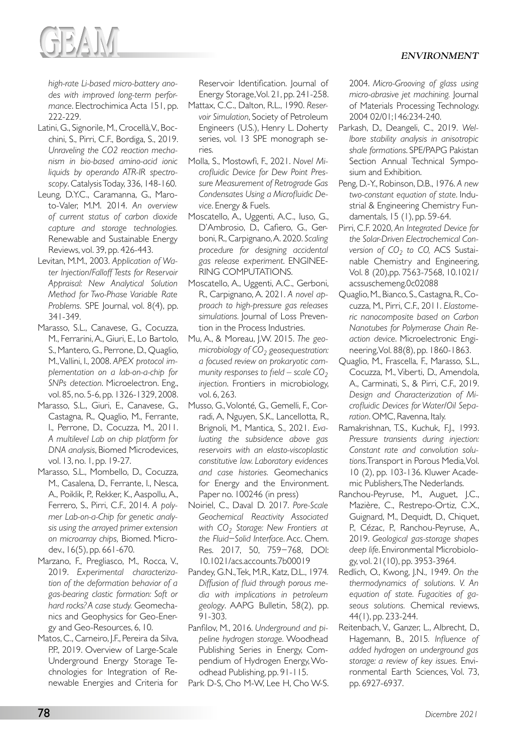

*high-rate Li-based micro-battery anodes with improved long-term performance*. Electrochimica Acta 151, pp. 222-229.

- Latini, G., Signorile, M., Crocellà, V., Bocchini, S., Pirri, C.F., Bordiga, S., 2019. *Unraveling the CO2 reaction mechanism in bio-based amino-acid ionic liquids by operando ATR-IR spectroscopy*. Catalysis Today, 336, 148-160.
- Leung, D.Y.C., Caramanna, G., Maroto-Valer, M.M. 2014. *An overview of current status of carbon dioxide capture and storage technologies.* Renewable and Sustainable Energy Reviews, vol. 39, pp. 426-443.
- Levitan, M.M., 2003. *Application of Water Injection/Falloff Tests for Reservoir Appraisal: New Analytical Solution Method for Two-Phase Variable Rate Problems.* SPE Journal, vol. 8(4), pp. 341-349.
- Marasso, S.L., Canavese, G., Cocuzza, M., Ferrarini, A., Giuri, E., Lo Bartolo, S., Mantero, G., Perrone, D., Quaglio, M., Vallini, I., 2008. *APEX protocol implementation on a lab-on-a-chip for SNPs detection*. Microelectron. Eng., vol. 85, no. 5-6, pp. 1326-1329, 2008.
- Marasso, S.L., Giuri, E., Canavese, G., Castagna, R., Quaglio, M., Ferrante, I., Perrone, D., Cocuzza, M., 2011. *A multilevel Lab on chip platform for DNA analysis*, Biomed Microdevices, vol. 13, no. 1, pp. 19-27.
- Marasso, S.L., Mombello, D., Cocuzza, M., Casalena, D., Ferrante, I., Nesca, A., Poiklik, P., Rekker, K., Aaspollu, A., Ferrero, S., Pirri, C.F., 2014. *A polymer Lab-on-a-Chip for genetic analysis using the arrayed primer extension on microarray chips,* Biomed. Microdev., 16(5), pp. 661-670.
- Marzano, F., Pregliasco, M., Rocca, V., 2019. *Experimental characterization of the deformation behavior of a gas-bearing clastic formation: Soft or hard rocks? A case study.* Geomechanics and Geophysics for Geo-Energy and Geo-Resources, 6, 10.
- Matos, C., Carneiro, J.F., Pereira da Silva, P.P., 2019. Overview of Large-Scale Underground Energy Storage Technologies for Integration of Renewable Energies and Criteria for

Reservoir Identification. Journal of Energy Storage, Vol. 21, pp. 241-258.

- Mattax, C.C., Dalton, R.L., 1990. *Reservoir Simulation*, Society of Petroleum Engineers (U.S.), Henry L. Doherty series, vol. 13 SPE monograph series.
- Molla, S., Mostowfi, F., 2021. *Novel Microfluidic Device for Dew Point Pressure Measurement of Retrograde Gas Condensates Using a Microfluidic Device*. Energy & Fuels.
- Moscatello, A., Uggenti, A.C., Iuso, G., D'Ambrosio, D., Cafiero, G., Gerboni, R., Carpignano, A. 2020. *Scaling procedure for designing accidental gas release experiment*. ENGINEE-RING COMPUTATIONS.
- Moscatello, A., Uggenti, A.C., Gerboni, R., Carpignano, A. 2021. *A novel approach to high-pressure gas releases simulations.* Journal of Loss Prevention in the Process Industries.
- Mu, A., & Moreau, J.W. 2015. *The geomicrobiology of CO2 geosequestration: a focused review on prokaryotic community responses to field – scale CO<sub>2</sub> injection*. Frontiers in microbiology, vol. 6, 263.
- Musso, G., Volonté, G., Gemelli, F., Corradi, A, Nguyen, S.K., Lancellotta, R., Brignoli, M., Mantica, S., 2021. *Evaluating the subsidence above gas reservoirs with an elasto-viscoplastic constitutive law. Laboratory evidences and case histories.* Geomechanics for Energy and the Environment. Paper no. 100246 (in press)
- Noiriel, C., Daval D. 2017. *Pore-Scale Geochemical Reactivity Associated*  with CO<sub>2</sub> Storage: New Frontiers at *the Fluid−Solid Interface*. Acc. Chem. Res. 2017, 50, 759−768, DOI: 10.1021/acs.accounts.7b00019
- Pandey, G.N., Tek, M.R., Katz, D.L., 1974*. Diffusion of fluid through porous media with implications in petroleum geology*. AAPG Bulletin, 58(2), pp. 91-303.
- Panfilov, M., 2016. *Underground and pipeline hydrogen storage.* Woodhead Publishing Series in Energy, Compendium of Hydrogen Energy, Woodhead Publishing, pp. 91-115.
- Park D-S, Cho M-W, Lee H, Cho W-S.

2004. *Micro-Grooving of glass using micro-abrasive jet machining.* Journal of Materials Processing Technology. 2004 02/01;146:234-240.

- Parkash, D., Deangeli, C., 2019. *Wellbore stability analysis in anisotropic shale formations*. SPE/PAPG Pakistan Section Annual Technical Symposium and Exhibition.
- Peng, D.-Y., Robinson, D.B., 1976. *A new two-constant equation of state*. Industrial & Engineering Chemistry Fundamentals, 15 (1), pp. 59-64.
- Pirri, C.F. 2020, *An Integrated Device for the Solar-Driven Electrochemical Conversion of CO<sub>2</sub> to CO, ACS Sustai*nable Chemistry and Engineering, Vol. 8 (20),pp. 7563-7568, 10.1021/ acssuschemeng.0c02088
- Quaglio, M., Bianco, S., Castagna, R., Cocuzza, M., Pirri, C.F., 2011. *Elastomeric nanocomposite based on Carbon Nanotubes for Polymerase Chain Reaction device*. Microelectronic Engineering, Vol. 88(8), pp. 1860-1863.
- Quaglio, M., Frascella, F., Marasso, S.L., Cocuzza, M., Viberti, D., Amendola, A., Carminati, S., & Pirri, C.F., 2019. *Design and Characterization of Microfluidic Devices for Water/Oil Separation*. OMC, Ravenna, Italy.
- Ramakrishnan, T.S., Kuchuk, F.J., 1993. *Pressure transients during injection: Constant rate and convolution solutions*. Transport in Porous Media, Vol. 10 (2), pp. 103-136. Kluwer Academic Publishers, The Nederlands.
- Ranchou-Peyruse, M., Auguet, J.C., Mazière, C., Restrepo-Ortiz, C.X., Guignard, M., Dequidt, D., Chiquet, P., Cézac, P., Ranchou-Peyruse, A., 2019. *Geological gas-storage shapes deep life*. Environmental Microbiology, vol. 21(10), pp. 3953-3964.
- Redlich, O., Kwong, J.N., 1949. *On the thermodynamics of solutions. V. An equation of state. Fugacities of gaseous solutions.* Chemical reviews, 44(1), pp. 233-244.
- Reitenbach, V., Ganzer, L., Albrecht, D., Hagemann, B., 2015*. Influence of added hydrogen on underground gas storage: a review of key issues.* Environmental Earth Sciences, Vol. 73, pp. 6927-6937.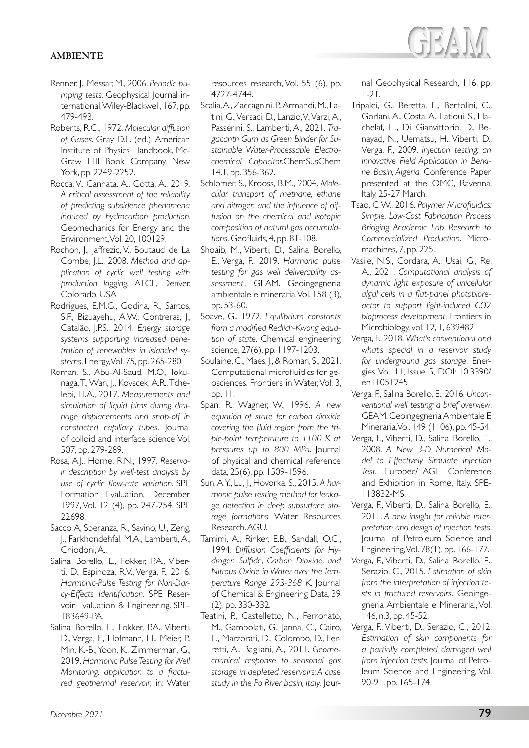- Renner, J., Messar, M., 2006. *Periodic pumping tests.* Geophysical Journal international, Wiley-Blackwell, 167, pp. 479-493.
- Roberts, R.C., 1972. *Molecular diffusion of Gases*. Gray D.E. (ed.), American Institute of Physics Handbook, Mc-Graw Hill Book Company, New York, pp. 2249-2252.
- Rocca, V., Cannata, A., Gotta, A., 2019. *A critical assessment of the reliability of predicting subsidence phenomena induced by hydrocarbon production*. Geomechanics for Energy and the Environment, Vol. 20, 100129.
- Rochon, J., Jaffrezic, V., Boutaud de La Combe, J.L., 2008. *Method and application of cyclic well testing with production logging.* ATCE, Denver, Colorado, USA
- Rodrigues, E.M.G., Godina, R., Santos, S.F., Bizuayehu, A.W., Contreras, J., Catalão, J.P.S., 2014. *Energy storage systems supporting increased penetration of renewables in islanded systems*. Energy, Vol. 75, pp. 265-280.
- Roman, S., Abu-Al-Saud, M.O., Tokunaga, T., Wan, J., Kovscek, A.R., Tchelepi, H.A., 2017. *Measurements and simulation of liquid films during drainage displacements and snap-off in constricted capillary tubes.* Journal of colloid and interface science, Vol. 507, pp. 279-289.
- Rosa, A.J., Horne, R.N., 1997. *Reservoir description by well-test analysis by use of cyclic flow-rate variation*. SPE Formation Evaluation, December 1997, Vol. 12 (4), pp. 247-254. SPE 22698.
- Sacco A, Speranza, R., Savino, U., Zeng, J., Farkhondehfal, M.A., Lamberti, A., Chiodoni, A.,
- Salina Borello, E., Fokker, P.A., Viberti, D., Espinoza, R.V., Verga, F., 2016. *Harmonic-Pulse Testing for Non-Darcy-Effects Identification*. SPE Reservoir Evaluation & Engineering. SPE-183649-PA.
- Salina Borello, E., Fokker, P.A., Viberti, D., Verga, F., Hofmann, H., Meier, P., Min, K.-B., Yoon, K., Zimmerman, G., 2019. *Harmonic Pulse Testing for Well Monitoring: application to a fractured geothermal reservoir*, in: Water

resources research, Vol. 55 (6)*,* pp. 4727-4744.

- Scalia, A., Zaccagnini, P., Armandi, M., Latini, G., Versaci, D., Lanzio, V., Varzi, A., Passerini, S., Lamberti, A., 2021. *Tragacanth Gum as Green Binder for Sustainable Water-Processable Electrochemical Capacitor.*ChemSusChem 14.1, pp. 356-362.
- Schlomer, S., Krooss, B.M., 2004. *Molecular transport of methane, ethane and nitrogen and the influence of diffusion on the chemical and isotopic composition of natural gas accumulations*. Geofluids, 4, pp. 81-108.
- Shoaib, M., Viberti, D., Salina Borello, E., Verga, F., 2019. *Harmonic pulse testing for gas well deliverability assessment.*, GEAM. Geoingegneria ambientale e mineraria, Vol. 158 (3), pp. 53-60.
- Soave, G., 1972. *Equilibrium constants from a modified Redlich-Kwong equation of state*. Chemical engineering science, 27(6), pp. 1197-1203.
- Soulaine, C., Maes, J., & Roman, S., 2021. Computational microfluidics for geosciences. Frontiers in Water, Vol. 3, pp. 11.
- Span, R., Wagner, W., 1996. *A new equation of state for carbon dioxide covering the fluid region from the triple-point temperature to 1100 K at pressures up to 800 MPa*. Journal of physical and chemical reference data, 25(6), pp. 1509-1596.
- Sun, A.Y., Lu, J., Hovorka, S., 2015. *A harmonic pulse testing method for leakage detection in deep subsurface storage formations.* Water Resources Research. AGU.
- Tamimi, A., Rinker, E.B., Sandall, O.C., 1994. *Diffusion Coefficients for Hydrogen Sulfide, Carbon Dioxide, and Nitrous Oxide in Water over the Temperature Range 293-368 K*. Journal of Chemical & Engineering Data, 39 (2), pp. 330-332.
- Teatini, P., Castelletto, N., Ferronato, M., Gambolati, G., Janna, C., Cairo, E., Marzorati, D., Colombo, D., Ferretti, A., Bagliani, A., 2011. *Geomechanical response to seasonal gas storage in depleted reservoirs: A case study in the Po River basin, Italy.* Jour-

nal Geophysical Research, 116, pp. 1-21.

- Tripaldi, G., Beretta, E., Bertolini, C., Gorlani, A., Costa, A., Latioui, S., Hachelaf, H., Di Gianvittorio, D., Benayad, N., Uematsu, H., Viberti, D., Verga, F., 2009. *Injection testing: an Innovative Field Application in Berkine Basin, Algeria.* Conference Paper presented at the OMC, Ravenna, Italy, 25-27 March.
- Tsao, C.W., 2016. *Polymer Microfluidics: Simple, Low-Cost Fabrication Process Bridging Academic Lab Research to Commercialized Production*. Micromachines, 7, pp. 225.
- Vasile, N.S., Cordara, A., Usai, G., Re, A., 2021. *Computational analysis of dynamic light exposure of unicellular algal cells in a flat-panel photobioreactor to support light-induced CO2 bioprocess development*, Frontiers in Microbiology, vol. 12, 1, 639482
- Verga, F., 2018. *What's conventional and what's special in a reservoir study for underground gas storage*. Energies, Vol. 11, Issue 5, DOI: 10.3390/ en11051245
- Verga, F., Salina Borello, E., 2016. *Unconventional well testing: a brief overview*. GEAM. Geoingegneria Ambientale E Mineraria, Vol. 149 (1106), pp. 45-54.
- Verga, F., Viberti, D., Salina Borello, E., 2008. *A New 3-D Numerical Model to Effectively Simulate Injection Test.* Europec/EAGE Conference and Exhibition in Rome, Italy. SPE-113832-MS.
- Verga, F., Viberti, D., Salina Borello, E., 2011. *A new insight for reliable interpretation and design of injection tests*. Journal of Petroleum Science and Engineering, Vol. 78(1), pp. 166-177.
- Verga, F., Viberti, D., Salina Borello, E., Serazio, C., 2015. *Estimation of skin from the interpretation of injection tests in fractured reservoirs.* Geoingegneria Ambientale e Mineraria., Vol. 146, n.3, pp. 45-52.
- Verga, F., Viberti, D., Serazio, C., 2012. *Estimation of skin components for a partially completed damaged well from injection tests.* Journal of Petroleum Science and Engineering, Vol. 90-91, pp. 165-174.